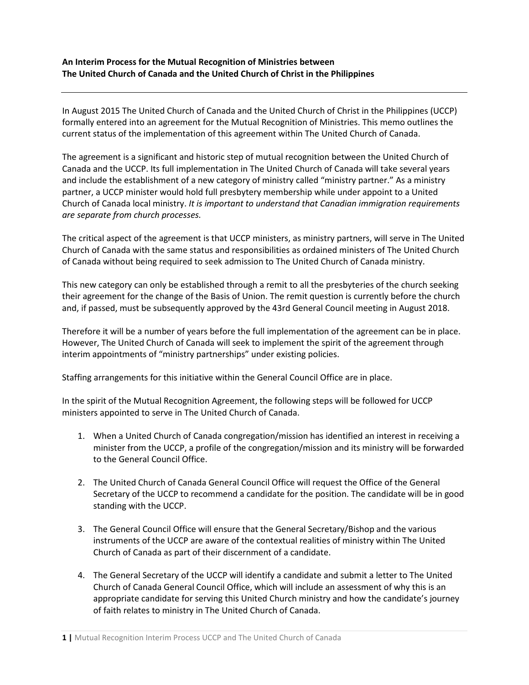**An Interim Process for the Mutual Recognition of Ministries between The United Church of Canada and the United Church of Christ in the Philippines**

In August 2015 The United Church of Canada and the United Church of Christ in the Philippines (UCCP) formally entered into an agreement for the Mutual Recognition of Ministries. This memo outlines the current status of the implementation of this agreement within The United Church of Canada.

The agreement is a significant and historic step of mutual recognition between the United Church of Canada and the UCCP. Its full implementation in The United Church of Canada will take several years and include the establishment of a new category of ministry called "ministry partner." As a ministry partner, a UCCP minister would hold full presbytery membership while under appoint to a United Church of Canada local ministry. *It is important to understand that Canadian immigration requirements are separate from church processes.*

The critical aspect of the agreement is that UCCP ministers, as ministry partners, will serve in The United Church of Canada with the same status and responsibilities as ordained ministers of The United Church of Canada without being required to seek admission to The United Church of Canada ministry.

This new category can only be established through a remit to all the presbyteries of the church seeking their agreement for the change of the Basis of Union. The remit question is currently before the church and, if passed, must be subsequently approved by the 43rd General Council meeting in August 2018.

Therefore it will be a number of years before the full implementation of the agreement can be in place. However, The United Church of Canada will seek to implement the spirit of the agreement through interim appointments of "ministry partnerships" under existing policies.

Staffing arrangements for this initiative within the General Council Office are in place.

In the spirit of the Mutual Recognition Agreement, the following steps will be followed for UCCP ministers appointed to serve in The United Church of Canada.

- 1. When a United Church of Canada congregation/mission has identified an interest in receiving a minister from the UCCP, a profile of the congregation/mission and its ministry will be forwarded to the General Council Office.
- 2. The United Church of Canada General Council Office will request the Office of the General Secretary of the UCCP to recommend a candidate for the position. The candidate will be in good standing with the UCCP.
- 3. The General Council Office will ensure that the General Secretary/Bishop and the various instruments of the UCCP are aware of the contextual realities of ministry within The United Church of Canada as part of their discernment of a candidate.
- 4. The General Secretary of the UCCP will identify a candidate and submit a letter to The United Church of Canada General Council Office, which will include an assessment of why this is an appropriate candidate for serving this United Church ministry and how the candidate's journey of faith relates to ministry in The United Church of Canada.

**<sup>1</sup> |** Mutual Recognition Interim Process UCCP and The United Church of Canada